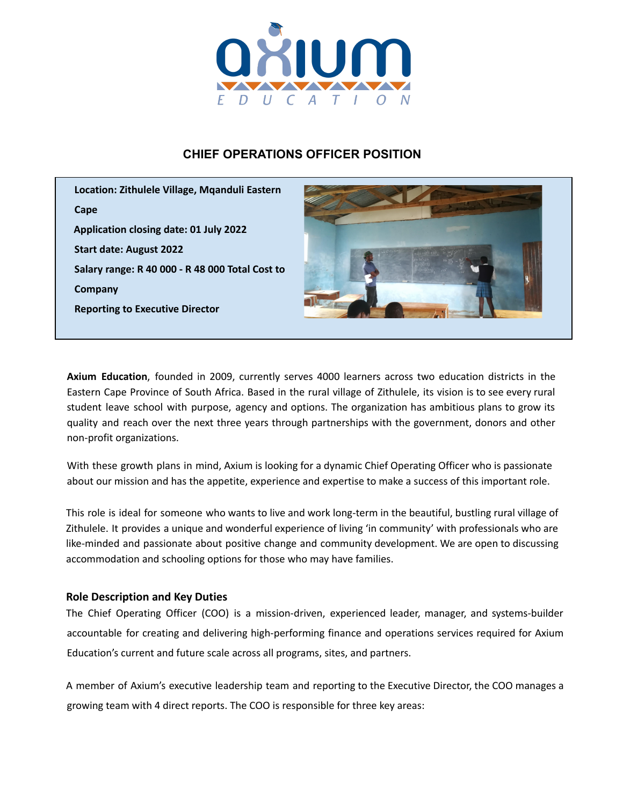

# **CHIEF OPERATIONS OFFICER POSITION**



**Axium Education**, founded in 2009, currently serves 4000 learners across two education districts in the Eastern Cape Province of South Africa. Based in the rural village of Zithulele, its vision is to see every rural student leave school with purpose, agency and options. The organization has ambitious plans to grow its quality and reach over the next three years through partnerships with the government, donors and other non-profit organizations.

With these growth plans in mind, Axium is looking for a dynamic Chief Operating Officer who is passionate about our mission and has the appetite, experience and expertise to make a success of this important role.

This role is ideal for someone who wants to live and work long-term in the beautiful, bustling rural village of Zithulele. It provides a unique and wonderful experience of living 'in community' with professionals who are like-minded and passionate about positive change and community development. We are open to discussing accommodation and schooling options for those who may have families.

### **Role Description and Key Duties**

The Chief Operating Officer (COO) is a mission-driven, experienced leader, manager, and systems-builder accountable for creating and delivering high-performing finance and operations services required for Axium Education's current and future scale across all programs, sites, and partners.

A member of Axium's executive leadership team and reporting to the Executive Director, the COO manages a growing team with 4 direct reports. The COO is responsible for three key areas: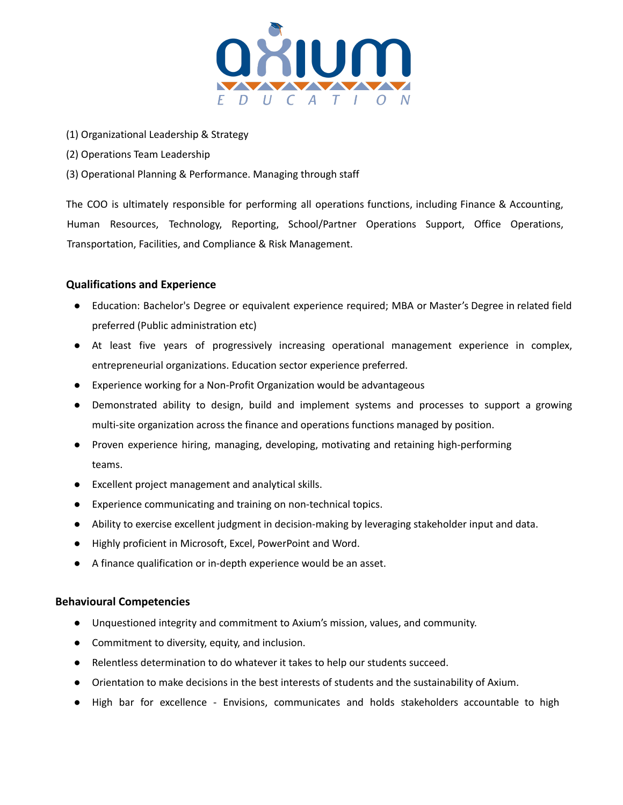

- (1) Organizational Leadership & Strategy
- (2) Operations Team Leadership
- (3) Operational Planning & Performance. Managing through staff

The COO is ultimately responsible for performing all operations functions, including Finance & Accounting, Human Resources, Technology, Reporting, School/Partner Operations Support, Office Operations, Transportation, Facilities, and Compliance & Risk Management.

#### **Qualifications and Experience**

- Education: Bachelor's Degree or equivalent experience required; MBA or Master's Degree in related field preferred (Public administration etc)
- At least five years of progressively increasing operational management experience in complex, entrepreneurial organizations. Education sector experience preferred.
- Experience working for a Non-Profit Organization would be advantageous
- Demonstrated ability to design, build and implement systems and processes to support a growing multi-site organization across the finance and operations functions managed by position.
- Proven experience hiring, managing, developing, motivating and retaining high-performing teams.
- Excellent project management and analytical skills.
- Experience communicating and training on non-technical topics.
- Ability to exercise excellent judgment in decision-making by leveraging stakeholder input and data.
- Highly proficient in Microsoft, Excel, PowerPoint and Word.
- A finance qualification or in-depth experience would be an asset.

#### **Behavioural Competencies**

- Unquestioned integrity and commitment to Axium's mission, values, and community.
- Commitment to diversity, equity, and inclusion.
- Relentless determination to do whatever it takes to help our students succeed.
- Orientation to make decisions in the best interests of students and the sustainability of Axium.
- High bar for excellence Envisions, communicates and holds stakeholders accountable to high